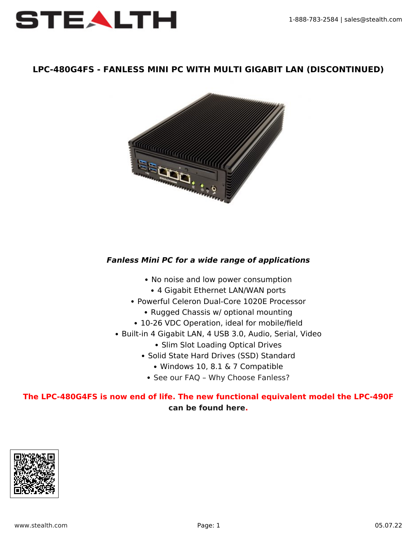

### **LPC-480G4FS - FANLESS MINI PC WITH MULTI GIGABIT LAN (DISCONTINUED)**



### *Fanless Mini PC for a wide range of applications*

- No noise and low power consumption
	- 4 Gigabit Ethernet LAN/WAN ports
- Powerful Celeron Dual-Core 1020E Processor
	- Rugged Chassis w/ optional mounting
- 10-26 VDC Operation, ideal for mobile/field
- Built-in 4 Gigabit LAN, 4 USB 3.0, Audio, Serial, Video
	- Slim Slot Loading Optical Drives
	- Solid State Hard Drives (SSD) Standard
		- Windows 10, 8.1 & 7 Compatible
		- See our FAQ Why Choose Fanless?

# **The LPC-480G4FS is now end of life. The new functional equivalent model the LPC-490F [can be found here](https://www.stealth.com/littlepcs/lpc-490f-powerful-fanless-mini-pc-with-multi-gigabit-lan/).**

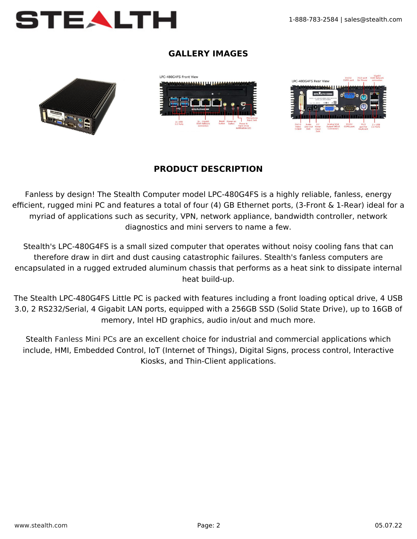

## **GALLERY IMAGES**







# **PRODUCT DESCRIPTION**

Fanless by design! The Stealth Computer model LPC-480G4FS is a highly reliable, fanless, energy efficient, rugged mini PC and features a total of four (4) GB Ethernet ports, (3-Front & 1-Rear) ideal for a myriad of applications such as security, VPN, network appliance, bandwidth controller, network diagnostics and mini servers to name a few.

Stealth's LPC-480G4FS is a small sized computer that operates without noisy cooling fans that can therefore draw in dirt and dust causing catastrophic failures. Stealth's fanless computers are encapsulated in a rugged extruded aluminum chassis that performs as a heat sink to dissipate internal heat build-up.

The Stealth LPC-480G4FS Little PC is packed with features including a front loading optical drive, 4 USB 3.0, 2 RS232/Serial, 4 Gigabit LAN ports, equipped with a 256GB SSD (Solid State Drive), up to 16GB of memory, Intel HD graphics, audio in/out and much more.

Stealth [Fanless Mini PCs](https://www.stealth.com/littlepcs/fanless-mini-pcs/) are an excellent choice for industrial and commercial applications which include, HMI, Embedded Control, IoT (Internet of Things), Digital Signs, process control, Interactive Kiosks, and Thin-Client applications.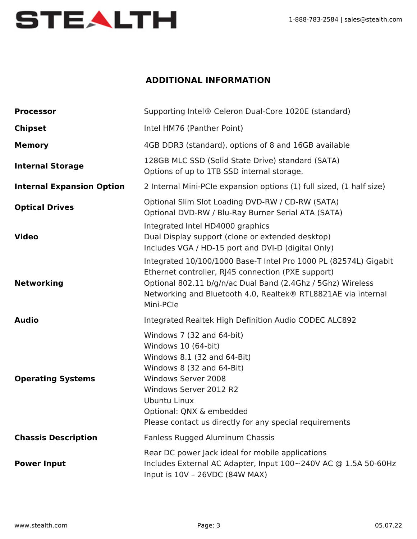

# **ADDITIONAL INFORMATION**

| <b>Processor</b>                 | Supporting Intel® Celeron Dual-Core 1020E (standard)                                                                                                                                                                                                                 |
|----------------------------------|----------------------------------------------------------------------------------------------------------------------------------------------------------------------------------------------------------------------------------------------------------------------|
| <b>Chipset</b>                   | Intel HM76 (Panther Point)                                                                                                                                                                                                                                           |
| <b>Memory</b>                    | 4GB DDR3 (standard), options of 8 and 16GB available                                                                                                                                                                                                                 |
| <b>Internal Storage</b>          | 128GB MLC SSD (Solid State Drive) standard (SATA)<br>Options of up to 1TB SSD internal storage.                                                                                                                                                                      |
| <b>Internal Expansion Option</b> | 2 Internal Mini-PCIe expansion options (1) full sized, (1 half size)                                                                                                                                                                                                 |
| <b>Optical Drives</b>            | Optional Slim Slot Loading DVD-RW / CD-RW (SATA)<br>Optional DVD-RW / Blu-Ray Burner Serial ATA (SATA)                                                                                                                                                               |
| <b>Video</b>                     | Integrated Intel HD4000 graphics<br>Dual Display support (clone or extended desktop)<br>Includes VGA / HD-15 port and DVI-D (digital Only)                                                                                                                           |
| <b>Networking</b>                | Integrated 10/100/1000 Base-T Intel Pro 1000 PL (82574L) Gigabit<br>Ethernet controller, RJ45 connection (PXE support)<br>Optional 802.11 b/g/n/ac Dual Band (2.4Ghz / 5Ghz) Wireless<br>Networking and Bluetooth 4.0, Realtek® RTL8821AE via internal<br>Mini-PCIe  |
| <b>Audio</b>                     | Integrated Realtek High Definition Audio CODEC ALC892                                                                                                                                                                                                                |
| <b>Operating Systems</b>         | Windows 7 (32 and 64-bit)<br>Windows 10 (64-bit)<br>Windows 8.1 (32 and 64-Bit)<br>Windows 8 (32 and 64-Bit)<br>Windows Server 2008<br>Windows Server 2012 R2<br>Ubuntu Linux<br>Optional: QNX & embedded<br>Please contact us directly for any special requirements |
| <b>Chassis Description</b>       | Fanless Rugged Aluminum Chassis                                                                                                                                                                                                                                      |
| <b>Power Input</b>               | Rear DC power Jack ideal for mobile applications<br>Includes External AC Adapter, Input 100~240V AC @ 1.5A 50-60Hz<br>Input is 10V - 26VDC (84W MAX)                                                                                                                 |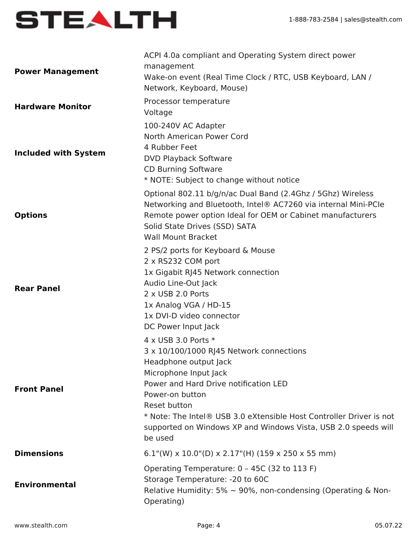

| <b>Power Management</b>     | ACPI 4.0a compliant and Operating System direct power<br>management<br>Wake-on event (Real Time Clock / RTC, USB Keyboard, LAN /<br>Network, Keyboard, Mouse)                                                                                                                                                                                     |
|-----------------------------|---------------------------------------------------------------------------------------------------------------------------------------------------------------------------------------------------------------------------------------------------------------------------------------------------------------------------------------------------|
| <b>Hardware Monitor</b>     | Processor temperature<br>Voltage                                                                                                                                                                                                                                                                                                                  |
| <b>Included with System</b> | 100-240V AC Adapter<br>North American Power Cord<br>4 Rubber Feet<br><b>DVD Playback Software</b><br><b>CD Burning Software</b><br>* NOTE: Subject to change without notice                                                                                                                                                                       |
| <b>Options</b>              | Optional 802.11 b/g/n/ac Dual Band (2.4Ghz / 5Ghz) Wireless<br>Networking and Bluetooth, Intel® AC7260 via internal Mini-PCIe<br>Remote power option Ideal for OEM or Cabinet manufacturers<br>Solid State Drives (SSD) SATA<br><b>Wall Mount Bracket</b>                                                                                         |
| <b>Rear Panel</b>           | 2 PS/2 ports for Keyboard & Mouse<br>2 x RS232 COM port<br>1x Gigabit RJ45 Network connection<br>Audio Line-Out Jack<br>2 x USB 2.0 Ports<br>1x Analog VGA / HD-15<br>1x DVI-D video connector<br>DC Power Input Jack                                                                                                                             |
| <b>Front Panel</b>          | 4 x USB 3.0 Ports *<br>3 x 10/100/1000 RJ45 Network connections<br>Headphone output Jack<br>Microphone Input Jack<br>Power and Hard Drive notification LED<br>Power-on button<br>Reset button<br>* Note: The Intel® USB 3.0 eXtensible Host Controller Driver is not<br>supported on Windows XP and Windows Vista, USB 2.0 speeds will<br>be used |
| <b>Dimensions</b>           | $6.1$ "(W) x 10.0"(D) x 2.17"(H) (159 x 250 x 55 mm)                                                                                                                                                                                                                                                                                              |
| <b>Environmental</b>        | Operating Temperature: 0 - 45C (32 to 113 F)<br>Storage Temperature: - 20 to 60C<br>Relative Humidity: 5% $\sim$ 90%, non-condensing (Operating & Non-<br>Operating)                                                                                                                                                                              |